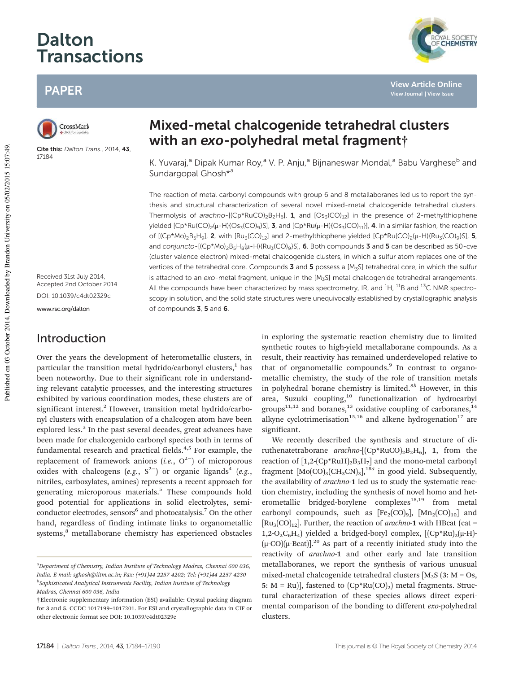# Dalton **Transactions**

# PAPER



Cite this: Dalton Trans., 2014, 43, 17184

Mixed-metal chalcogenide tetrahedral clusters with an exo-polyhedral metal fragment<sup>+</sup>

K. Yuvaraj,<sup>a</sup> Dipak Kumar Roy,<sup>a</sup> V. P. Anju,<sup>a</sup> Bijnaneswar Mondal,<sup>a</sup> Babu Varghese<sup>b</sup> and Sundargopal Ghosh<sup>\*a</sup>

The reaction of metal carbonyl compounds with group 6 and 8 metallaboranes led us to report the synthesis and structural characterization of several novel mixed-metal chalcogenide tetrahedral clusters. Thermolysis of arachno- $[(Cp*RuCO)<sub>2</sub>B<sub>2</sub>H<sub>6</sub>],$  1, and  $[Os<sub>3</sub>(CO)<sub>12</sub>]$  in the presence of 2-methylthiophene yielded  $[Cp*Ru(CO)_2(\mu-H)\{Os_3(CO)_9\}S]$ , 3, and  $[Cp*Ru(\mu-H)\{Os_3(CO)_{11}\}]$ , 4. In a similar fashion, the reaction of  $[(Cp*Mo)_2B_5H_9]$ , 2, with  $[Ru_3(CO)_{12}]$  and 2-methylthiophene yielded  $[Cp*Ku(CO)_2(\mu-H)\{Ru_3(CO)_9\}S]$ , 5, and conjuncto- $[(Cp*Mo)_2B_5H_8(\mu-H)(Ru_3(CO)_9)S]$ , 6. Both compounds 3 and 5 can be described as 50-cve (cluster valence electron) mixed-metal chalcogenide clusters, in which a sulfur atom replaces one of the vertices of the tetrahedral core. Compounds  $3$  and  $5$  possess a [M<sub>3</sub>S] tetrahedral core, in which the sulfur is attached to an exo-metal fragment, unique in the [M<sub>3</sub>S] metal chalcogenide tetrahedral arrangements. All the compounds have been characterized by mass spectrometry, IR, and  ${}^{1}H$ ,  ${}^{11}B$  and  ${}^{13}C$  NMR spectroscopy in solution, and the solid state structures were unequivocally established by crystallographic analysis of compounds 3, 5 and 6.

Received 31st July 2014, Accepted 2nd October 2014 DOI: 10.1039/c4dt02329c

## Introduction

Over the years the development of heterometallic clusters, in particular the transition metal hydrido/carbonyl clusters,<sup>1</sup> has been noteworthy. Due to their significant role in understanding relevant catalytic processes, and the interesting structures exhibited by various coordination modes, these clusters are of significant interest.<sup>2</sup> However, transition metal hydrido/carbonyl clusters with encapsulation of a chalcogen atom have been explored less.<sup>3</sup> In the past several decades, great advances have been made for chalcogenido carbonyl species both in terms of fundamental research and practical fields. $4,5$  For example, the replacement of framework anions (*i.e.*, O<sup>2−</sup>) of microporous oxides with chalcogens  $(e.g., S^{2-})$  or organic ligands<sup>4</sup>  $(e.g., S^{2-})$ nitriles, carboxylates, amines) represents a recent approach for generating microporous materials.<sup>5</sup> These compounds hold good potential for applications in solid electrolytes, semiconductor electrodes, sensors<sup>6</sup> and photocatalysis.<sup>7</sup> On the other hand, regardless of finding intimate links to organometallic systems,<sup>8</sup> metallaborane chemistry has experienced obstacles

in exploring the systematic reaction chemistry due to limited synthetic routes to high-yield metallaborane compounds. As a result, their reactivity has remained underdeveloped relative to that of organometallic compounds.<sup>9</sup> In contrast to organometallic chemistry, the study of the role of transition metals in polyhedral borane chemistry is limited.<sup>8*b*</sup> However, in this area, Suzuki coupling,<sup>10</sup> functionalization of hydrocarbyl groups<sup>11,12</sup> and boranes,<sup>13</sup> oxidative coupling of carboranes,<sup>14</sup> alkyne cyclotrimerisation<sup>15,16</sup> and alkene hydrogenation<sup>17</sup> are significant.

We recently described the synthesis and structure of diruthenatetraborane *arachno*- $[(Cp*RuCO)<sub>2</sub>B<sub>2</sub>H<sub>6</sub>]$ , **1**, from the reaction of  $[1,2-(Cp*RuH)_2B_3H_7]$  and the mono-metal carbonyl fragment [Mo(CO)<sub>3</sub>(CH<sub>3</sub>CN)<sub>3</sub>],<sup>18*a*</sup> in good yield. Subsequently, the availability of *arachno*-1 led us to study the systematic reaction chemistry, including the synthesis of novel homo and heterometallic bridged-borylene complexes<sup>18,19</sup> from metal carbonyl compounds, such as  $[Fe_2(CO)_9]$ ,  $[Mn_2(CO)_{10}]$  and  $\text{[Ru}_{3}(\text{CO})_{12}\text{]}$ . Further, the reaction of *arachno*-1 with HBcat (cat =  $1,2-O_2C_6H_4$ ) yielded a bridged-boryl complex,  $[(Cp*Ru)_2(\mu-H) (\mu$ -CO)( $\mu$ -Bcat)].<sup>20</sup> As part of a recently initiated study into the reactivity of *arachno*-1 and other early and late transition metallaboranes, we report the synthesis of various unusual mixed-metal chalcogenide tetrahedral clusters  $[M_3S(3: M = Os,$ 5:  $M = Ru$ ], fastened to  $(Cp*Ru(CO_2))$  metal fragments. Structural characterization of these species allows direct experimental comparison of the bonding to different *exo*-polyhedral clusters.

Published on 03 October 2014. Downloaded by Brandon University on 05/02/2015 15:07:49.

Published on 03 October 2014. Downloaded by Brandon University on 05/02/2015 15:07:49.



**View Article Online View Journal | View Issue**

*<sup>a</sup>Department of Chemistry, Indian Institute of Technology Madras, Chennai 600 036, India. E-mail: sghosh@iitm.ac.in; Fax: (+91)44 2257 4202; Tel: (+91)44 2257 4230 b Sophisticated Analytical Instruments Facility, Indian Institute of Technology Madras, Chennai 600 036, India*

<sup>†</sup>Electronic supplementary information (ESI) available: Crystal packing diagram for 3 and 5. CCDC 1017199–1017201. For ESI and crystallographic data in CIF or other electronic format see DOI: 10.1039/c4dt02329c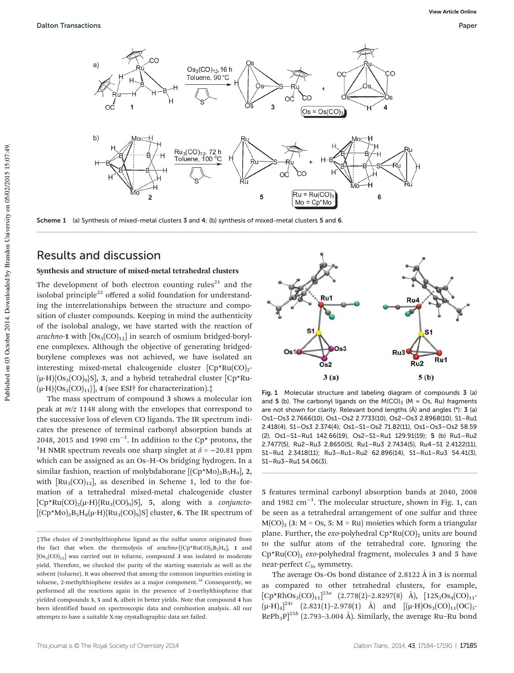

Scheme 1 (a) Synthesis of mixed-metal clusters 3 and 4; (b) synthesis of mixed-metal clusters 5 and 6.

### Results and discussion

### Synthesis and structure of mixed-metal tetrahedral clusters

The development of both electron counting rules<sup>21</sup> and the isolobal principle<sup>22</sup> offered a solid foundation for understanding the interrelationships between the structure and composition of cluster compounds. Keeping in mind the authenticity of the isolobal analogy, we have started with the reaction of *arachno*-1 with  $[Os<sub>3</sub>(CO)<sub>12</sub>]$  in search of osmium bridged-borylene complexes. Although the objective of generating bridgedborylene complexes was not achieved, we have isolated an interesting mixed-metal chalcogenide cluster  $[Cp*Ru(CO)<sub>2</sub>$ - $(\mu-H)\{OS_3(CO)_9\}$ S, 3, and a hybrid tetrahedral cluster  $[CP^*Ru (\mu-H)$ {Os<sub>3</sub>(CO)<sub>11</sub>}], 4 (see ESI† for characterization). $\ddagger$ 

The mass spectrum of compound 3 shows a molecular ion peak at *m*/*z* 1148 along with the envelopes that correspond to the successive loss of eleven CO ligands. The IR spectrum indicates the presence of terminal carbonyl absorption bands at 2048, 2015 and 1990  $\text{cm}^{-1}$ . In addition to the Cp\* protons, the <sup>1</sup>H NMR spectrum reveals one sharp singlet at  $\delta$  = −20.81 ppm which can be assigned as an Os–H–Os bridging hydrogen. In a similar fashion, reaction of molybdaborane  $[(Cp*Mo)_2B_5H_9]$ , 2, with  $\left[\text{Ru}_3(\text{CO})_{12}\right]$ , as described in Scheme 1, led to the formation of a tetrahedral mixed-metal chalcogenide cluster  $[Cp*Ru(CO)<sub>2</sub>(\mu-H)]$ {Ru<sub>3</sub>(CO)<sub>9</sub>}S], 5, along with a *conjuncto*- $\left[\mathrm{(Cp*Mo)}_{2}\mathrm{B}_{5}\mathrm{H}_{8}(\mu\text{-H})\mathrm{\{}Ru}_{3}(\mathrm{CO})_{9}\}\mathrm{S}\right]$  cluster, **6.** The IR spectrum of



Fig. 1 Molecular structure and labeling diagram of compounds 3 (a) and 5 (b). The carbonyl ligands on the M(CO)<sub>3</sub> (M = Os, Ru) fragments are not shown for clarity. Relevant bond lengths (Å) and angles (°): 3 (a) Os1–Os3 2.7666(10), Os1–Os2 2.7733(10), Os2–Os3 2.8968(10), S1–Ru1 2.418(4), S1–Os3 2.374(4); Os1–S1–Os2 71.82(11), Os1–Os3–Os2 58.59 (2), Os1–S1–Ru1 142.66(19), Os2–S1–Ru1 129.91(19); 5 (b) Ru1–Ru2 2.7477(5), Ru2–Ru3 2.8650(5), Ru1–Ru3 2.7434(5), Ru4–S1 2.4122(11), S1–Ru1 2.3418(11); Ru3–Ru1–Ru2 62.896(14), S1–Ru1–Ru3 54.41(3), S1–Ru3–Ru1 54.06(3).

5 features terminal carbonyl absorption bands at 2040, 2008 and 1982 cm−<sup>1</sup> . The molecular structure, shown in Fig. 1, can be seen as a tetrahedral arrangement of one sulfur and three  $M(CO)$ <sub>3</sub> (3: M = Os, 5: M = Ru) moieties which form a triangular plane. Further, the  $exo$ -polyhedral  $Cp*Ru(CO)_2$  units are bound to the sulfur atom of the tetrahedral core. Ignoring the Cp<sup>\*</sup>Ru(CO)<sub>2</sub> *exo*-polyhedral fragment, molecules 3 and 5 have near-perfect  $C_{3v}$  symmetry.

The average Os–Os bond distance of 2.8122 Å in 3 is normal as compared to other tetrahedral clusters, for example,  $[CP*RhOs<sub>3</sub>(CO)<sub>11</sub>]<sup>23*a*</sup> (2.778(2)-2.8297(8) Å), [12S<sub>3</sub>Os<sub>4</sub>(CO)<sub>11</sub>·$  $(\mu$ -H)<sub>4</sub>]<sup>24*c*</sup> (2.821(1)–2.978(1) Å) and [( $\mu$ -H)Os<sub>3</sub>(CO)<sub>11</sub>(OC)<sub>3</sub>-RePh<sub>3</sub>P]<sup>25*b*</sup> (2.793-3.004 Å). Similarly, the average Ru-Ru bond

<sup>‡</sup>The choice of 2-methylthiophene ligand as the sulfur source originated from the fact that when the thermolysis of  $arachno$ - $[(Cp * RuCO)_2B_2H_6]$ , 1 and  $[Os<sub>3</sub>(CO)<sub>12</sub>]$  was carried out in toluene, compound 3 was isolated in moderate yield. Therefore, we checked the purity of the starting materials as well as the solvent (toluene). It was observed that among the common impurities existing in toluene, 2-methylthiophene resides as a major component.<sup>38</sup> Consequently, we performed all the reactions again in the presence of 2-methylthiophene that yielded compounds 3, 5 and 6, albeit in better yields. Note that compound 4 has been identified based on spectroscopic data and combustion analysis. All our attempts to have a suitable X-ray crystallographic data set failed.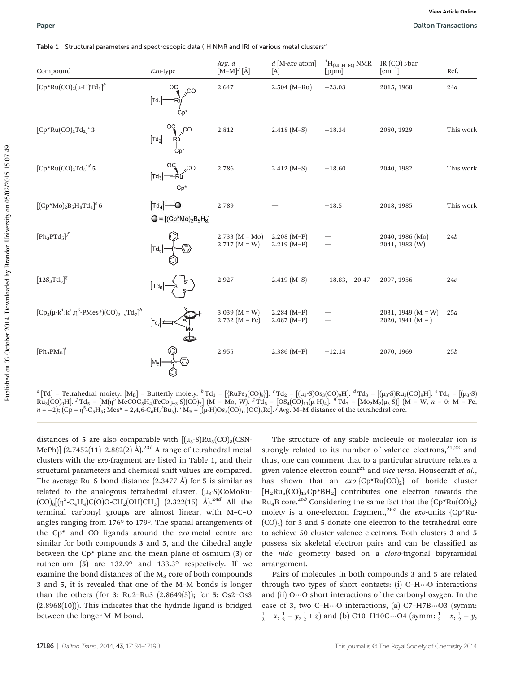Table 1 Structural parameters and spectroscopic data  $(^1H$  NMR and IR) of various metal clusters<sup>a</sup>

| Compound                                                    | Exo-type                                                             | Avg. $d$<br>$[M-M]^{j}$ [Å]             | $d$ [M-exo atom]<br>[Å]       | ${}^{1}H_{(M-H-M)}$ NMR<br>[ppm] | IR (CO) $\nu$ bar<br>$\lceil$ cm <sup>-1</sup> $\rceil$ | Ref.      |
|-------------------------------------------------------------|----------------------------------------------------------------------|-----------------------------------------|-------------------------------|----------------------------------|---------------------------------------------------------|-----------|
| $[Cp*Ru(CO)2(\mu-H)Td1]$ <sup>b</sup>                       | OC<br>$\mu^{\text{CO}}$<br>$\lbrack \text{Td}_1 \rbrack =$<br>$Cp^*$ | 2.647                                   | $2.504 (M-Ru)$                | $-23.03$                         | 2015, 1968                                              | 24a       |
| $[Cp*Ru(CO)_2Td_2]^c$ 3                                     | $\mathcal{S}^{\text{CO}}$<br>$\lbrack \mathsf{Td}_2 \rbrack$         | 2.812                                   | $2.418(M-S)$                  | $-18.34$                         | 2080, 1929                                              | This work |
| $[Cp*Ru(CO)2Td3]$ <sup>d</sup> 5                            | $C_{\nu}$<br>$\lbrack \text{Td}_3 \rbrack$                           | 2.786                                   | $2.412(M-S)$                  | $-18.60$                         | 2040, 1982                                              | This work |
| $[({\rm Cp*Mo})_2B_5H_8Td_4]^e$ 6                           | $Td_4$ $\rightarrow$<br>$Q = [(Cp*Mo)_2B_5H_8]$                      | 2.789                                   |                               | $-18.5$                          | 2018, 1985                                              | This work |
| $[Ph_3PTd_5]^f$                                             | $ \mathsf{Td}_5$                                                     | 2.733 $(M = Mo)$<br>$2.717(M = W)$      | $2.208 (M-P)$<br>$2.219(M-P)$ |                                  | 2040, 1986 (Mo)<br>$2041, 1983$ (W)                     | 24b       |
| $[12S_3Td_6]^g$                                             | $ \mathsf{Td}_6 $                                                    | 2.927                                   | $2.419(M-S)$                  | $-18.83, -20.47$                 | 2097, 1956                                              | 24c       |
| $[Cp_2(\mu - k^1 : k^1, \eta^6 - PMes*) (CO)_{9-n} Td_7]^h$ | $ Td_7 $                                                             | 3.039 ( $M = W$ )<br>2.732 ( $M = Fe$ ) | $2.284 (M-P)$<br>$2.087(M-P)$ |                                  | 2031, 1949 $(M = W)$<br>2020, 1941 $(M = )$             | 25a       |
| $[Ph_3PM_B]^i$                                              | $M_{\rm B}$                                                          | 2.955                                   | $2.386(M-P)$                  | $-12.14$                         | 2070, 1969                                              | 25b       |

*a* [Td] = Tetrahedral moiety. [M<sub>B</sub>] = Butterfly moiety. *b* Td<sub>1</sub> = [{RuFe<sub>3</sub>(CO)<sub>9</sub>}]. *<sup>c</sup>* Td<sub>2</sub> = [(µ<sub>3</sub>-S)Os<sub>3</sub>(CO)<sub>9</sub>H]. *<sup><i>d*</sup> Td<sub>3</sub> = [(µ<sub>3</sub>-S)Ru<sub>3</sub>(CO)<sub>9</sub>H]. *<sup><i>e*</sup> Td<sub>4</sub> = [(µ<sub>3</sub>-S)  $Ru_3(CO)_9H$ ].  ${}^fTd_5 = [M(\eta^5 \cdot \text{MeCOC}_5H_4)FeCo(\mu_3 \cdot S)(CO)_7]$  (M = Mo, W).  ${}^gTd_6 = [OS_4(CO)_{11}(\mu \cdot H)_4]$ .  ${}^hTd_7 = [Mo_2M_2(\mu_3 \cdot S)]$  (M = W,  $n = 0$ ; M = Fe,  $n = -2$ );  $(Cp = \eta^5 - C_5H_5$ ; Mes\* = 2,4,6-C<sub>6</sub>H<sub>2</sub><sup>t</sup>Bu<sub>3</sub>). <sup>*i*</sup> M<sub>B</sub> = [(μ-H)Os<sub>3</sub>(CO)<sub>11</sub>(OC)<sub>3</sub>Re]. <sup>*J*</sup> Avg. M–M distance of the tetrahedral core.

distances of 5 are also comparable with  $[(\mu_3-S)Ru_3(CO)_8(CSN-$ MePh)] (2.7452(11)-2.882(2) Å).<sup>23b</sup> A range of tetrahedral metal clusters with the *exo*-fragment are listed in Table 1, and their structural parameters and chemical shift values are compared. The average Ru–S bond distance  $(2.3477 \text{ Å})$  for 5 is similar as related to the analogous tetrahedral cluster,  $(\mu_3$ -S)CoMoRu-(CO)8[(η 5 -C4H4)C(O)O-CH2(OH)CH3] (2.322(15) Å).24*<sup>d</sup>* All the terminal carbonyl groups are almost linear, with M–C–O angles ranging from 176° to 179°. The spatial arrangements of the Cp\* and CO ligands around the *exo*-metal centre are similar for both compounds 3 and 5, and the dihedral angle between the Cp\* plane and the mean plane of osmium (3) or ruthenium (5) are 132.9° and 133.3° respectively. If we examine the bond distances of the  $M<sub>3</sub>$  core of both compounds 3 and 5, it is revealed that one of the M–M bonds is longer than the others (for 3: Ru2–Ru3 (2.8649(5)); for 5: Os2–Os3 (2.8968(10))). This indicates that the hydride ligand is bridged between the longer M–M bond.

The structure of any stable molecule or molecular ion is strongly related to its number of valence electrons,  $2^{1,22}$  and thus, one can comment that to a particular structure relates a given valence electron count<sup>21</sup> and *vice versa*. Housecraft *et al.*, has shown that an  $exo-\{Cp*Ru(CO)_2\}$  of boride cluster  $[H_2Ru_5(CO)_{13}Cp*BH_2]$  contributes one electron towards the Ru<sub>4</sub>B core.<sup>26*b*</sup> Considering the same fact that the  ${Cp*Ru(CO)_2}$ moiety is a one-electron fragment,<sup>26a</sup> the exo-units {Cp\*Ru- $(CO)_{2}$  for 3 and 5 donate one electron to the tetrahedral core to achieve 50 cluster valence electrons. Both clusters 3 and 5 possess six skeletal electron pairs and can be classified as the *nido* geometry based on a *closo*-trigonal bipyramidal arrangement.

Pairs of molecules in both compounds 3 and 5 are related through two types of short contacts: (i) C–H⋯O interactions and (ii) O⋯O short interactions of the carbonyl oxygen. In the case of 3, two C–H⋯O interactions, (a) C7–H7B⋯O3 (symm:  $\frac{1}{2}$  + *x*,  $\frac{1}{2}$  – *y*,  $\frac{1}{2}$  + *z*) and (b) C10–H10C…O4 (symm:  $\frac{1}{2}$  + *x*,  $\frac{1}{2}$  – *y*,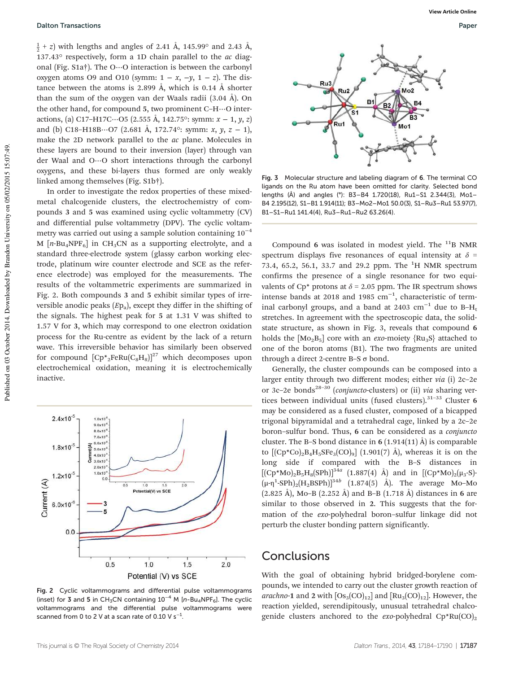$\frac{1}{2}$  + *z*) with lengths and angles of 2.41 Å, 145.99° and 2.43 Å, 137.43° respectively, form a 1D chain parallel to the *ac* diagonal (Fig. S1a†). The O⋯O interaction is between the carbonyl oxygen atoms O9 and O10 (symm:  $1 - x$ ,  $-y$ ,  $1 - z$ ). The distance between the atoms is 2.899 Å, which is 0.14 Å shorter than the sum of the oxygen van der Waals radii (3.04 Å). On the other hand, for compound 5, two prominent C–H⋯O interactions, (a) C17–H17C⋯O5 (2.555 Å, 142.75°: symm: *x* − 1, *y*, *z*) and (b) C18–H18B⋯O7 (2.681 Å, 172.74°: symm: *x*, *y*, *z* − 1), make the 2D network parallel to the *ac* plane. Molecules in these layers are bound to their inversion (layer) through van der Waal and O⋯O short interactions through the carbonyl oxygens, and these bi-layers thus formed are only weakly linked among themselves (Fig. S1b†).

In order to investigate the redox properties of these mixedmetal chalcogenide clusters, the electrochemistry of compounds 3 and 5 was examined using cyclic voltammetry (CV) and differential pulse voltammetry (DPV). The cyclic voltammetry was carried out using a sample solution containing  $10^{-4}$ M  $[n-Bu_4NPF_6]$  in CH<sub>3</sub>CN as a supporting electrolyte, and a standard three-electrode system (glassy carbon working electrode, platinum wire counter electrode and SCE as the reference electrode) was employed for the measurements. The results of the voltammetric experiments are summarized in Fig. 2. Both compounds 3 and 5 exhibit similar types of irreversible anodic peaks (*E*p<sup>a</sup> ), except they differ in the shifting of the signals. The highest peak for 5 at 1.31 V was shifted to 1.57 V for 3, which may correspond to one electron oxidation process for the Ru-centre as evident by the lack of a return wave. This irreversible behavior has similarly been observed for compound  $[Cp^*{}_2Feku(C_8H_8)]^{27}$  which decomposes upon electrochemical oxidation, meaning it is electrochemically inactive.



Fig. 2 Cyclic voltammograms and differential pulse voltammograms (inset) for 3 and 5 in CH<sub>3</sub>CN containing  $10^{-4}$  M [n-Bu<sub>4</sub>NPF<sub>6</sub>]. The cyclic voltammograms and the differential pulse voltammograms were scanned from 0 to 2 V at a scan rate of 0.10 V s $^{-1}$ .



Fig. 3 Molecular structure and labeling diagram of 6. The terminal CO ligands on the Ru atom have been omitted for clarity. Selected bond lengths (Å) and angles (°): B3–B4 1.720(18), Ru1–S1 2.344(3), Mo1– B4 2.195(12), S1–B1 1.914(11); B3–Mo2–Mo1 50.0(3), S1–Ru3–Ru1 53.97(7), B1–S1–Ru1 141.4(4), Ru3–Ru1–Ru2 63.26(4).

Compound 6 was isolated in modest yield. The  $^{11}$ B NMR spectrum displays five resonances of equal intensity at  $\delta$  = 73.4, 65.2, 56.1, 33.7 and 29.2 ppm. The  ${}^{1}$ H NMR spectrum confirms the presence of a single resonance for two equivalents of Cp<sup>\*</sup> protons at  $\delta$  = 2.05 ppm. The IR spectrum shows intense bands at 2018 and 1985  $cm^{-1}$ , characteristic of terminal carbonyl groups, and a band at 2403  $cm^{-1}$  due to B-H<sub>t</sub> stretches. In agreement with the spectroscopic data, the solidstate structure, as shown in Fig. 3, reveals that compound 6 holds the  $[Mo_2B_5]$  core with an *exo*-moiety  $\{Ru_3S\}$  attached to one of the boron atoms (B1). The two fragments are united through a direct 2-centre B-S σ bond.

Generally, the cluster compounds can be composed into a larger entity through two different modes; either *via* (i) 2c–2e or 3c-2e bonds<sup>28-30</sup> (*conjuncto-clusters*) or (ii) *via* sharing vertices between individual units (fused clusters). $31-33$  Cluster 6 may be considered as a fused cluster, composed of a bicapped trigonal bipyramidal and a tetrahedral cage, linked by a 2c–2e boron–sulfur bond. Thus, 6 can be considered as a *conjuncto* cluster. The B–S bond distance in  $6(1.914(11)$  Å) is comparable to  $[(Cp*C<sub>0</sub>)<sub>2</sub>B<sub>4</sub>H<sub>5</sub>SFe<sub>3</sub>(CO)<sub>9</sub>]$  (1.901(7) Å), whereas it is on the long side if compared with the B–S distances in  $[({\rm Cp*Mo})_2B_5H_8(SPh)]^{34a}$  (1.887(4) Å) and in  $[({\rm Cp*Mo})_2(\mu_3-S)$  $(\mu$ -η<sup>1</sup>-SPh)<sub>2</sub>(H<sub>2</sub>BSPh)]<sup>34*b*</sup> (1.874(5) Å). The average Mo-Mo (2.825 Å), Mo–B (2.252 Å) and B–B (1.718 Å) distances in 6 are similar to those observed in 2. This suggests that the formation of the *exo*-polyhedral boron–sulfur linkage did not perturb the cluster bonding pattern significantly.

### Conclusions

With the goal of obtaining hybrid bridged-borylene compounds, we intended to carry out the cluster growth reaction of *arachno*-1 and 2 with  $[Os<sub>3</sub>(CO)<sub>12</sub>]$  and  $[Ru<sub>3</sub>(CO)<sub>12</sub>]$ . However, the reaction yielded, serendipitously, unusual tetrahedral chalcogenide clusters anchored to the *exo*-polyhedral Cp\*Ru(CO)<sub>2</sub>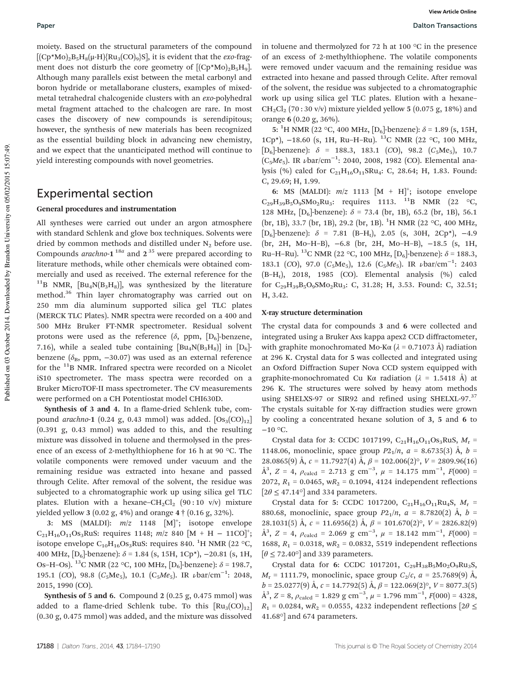moiety. Based on the structural parameters of the compound  $[(Cp*Mo)_2B_5H_8(\mu-H)\{Ru_3(CO)_9\}S]$ , it is evident that the *exo*-fragment does not disturb the core geometry of  $[(Cp*Mo)_2B_5H_9]$ . Although many parallels exist between the metal carbonyl and boron hydride or metallaborane clusters, examples of mixedmetal tetrahedral chalcogenide clusters with an *exo*-polyhedral metal fragment attached to the chalcogen are rare. In most cases the discovery of new compounds is serendipitous; however, the synthesis of new materials has been recognized as the essential building block in advancing new chemistry, and we expect that the unanticipated method will continue to yield interesting compounds with novel geometries.

### Experimental section

#### General procedures and instrumentation

All syntheses were carried out under an argon atmosphere with standard Schlenk and glove box techniques. Solvents were dried by common methods and distilled under  $N_2$  before use. Compounds *arachno*-1<sup>18*a*</sup> and 2<sup>35</sup> were prepared according to literature methods, while other chemicals were obtained commercially and used as received. The external reference for the <sup>11</sup>B NMR,  $[Bu_4N(B_3H_8)]$ , was synthesized by the literature method.<sup>36</sup> Thin layer chromatography was carried out on 250 mm dia aluminum supported silica gel TLC plates (MERCK TLC Plates). NMR spectra were recorded on a 400 and 500 MHz Bruker FT-NMR spectrometer. Residual solvent protons were used as the reference  $(\delta$ , ppm,  $[D_6]$ -benzene, 7.16), while a sealed tube containing  $[Bu_4N(B_3H_8)]$  in  $[D_6]$ benzene ( $\delta_B$ , ppm, -30.07) was used as an external reference for the  $^{11}$ B NMR. Infrared spectra were recorded on a Nicolet iS10 spectrometer. The mass spectra were recorded on a Bruker MicroTOF-II mass spectrometer. The CV measurements were performed on a CH Potentiostat model CHI630D.

Synthesis of 3 and 4. In a flame-dried Schlenk tube, compound *arachno*-1 (0.24 g, 0.43 mmol) was added.  $[Os<sub>3</sub>(CO)<sub>12</sub>]$ (0.391 g, 0.43 mmol) was added to this, and the resulting mixture was dissolved in toluene and thermolysed in the presence of an excess of 2-methylthiophene for 16 h at 90 °C. The volatile components were removed under vacuum and the remaining residue was extracted into hexane and passed through Celite. After removal of the solvent, the residue was subjected to a chromatographic work up using silica gel TLC plates. Elution with a hexane–CH<sub>2</sub>Cl<sub>2</sub> (90:10 v/v) mixture yielded yellow 3 (0.02 g, 4%) and orange 4 † (0.16 g, 32%).

3: MS (MALDI):  $m/z$  1148  $[M]^+$ ; isotope envelope  $C_{21}H_{16}O_{11}O_{83}RuS$ : requires 1148;  $m/z$  840  $[M + H - 11CO]$ <sup>+</sup>; isotope envelope  $C_{10}H_{16}Os_3RuS$ : requires 840. <sup>1</sup>H NMR (22 °C, 400 MHz,  $[D_6]$ -benzene):  $\delta$  = 1.84 (s, 15H, 1Cp<sup>\*</sup>), -20.81 (s, 1H, Os–H–Os). <sup>13</sup>C NMR (22 °C, 100 MHz,  $[D_6]$ -benzene):  $\delta$  = 198.7, 195.1 (CO), 98.8 (C<sub>5</sub>Me<sub>5</sub>), 10.1 (C<sub>5</sub>Me<sub>5</sub>). IR *v*bar/cm<sup>−1</sup>: 2048, 2015, 1990 (CO).

**Synthesis of 5 and 6.** Compound  $2(0.25 \text{ g}, 0.475 \text{ mmol})$  was added to a flame-dried Schlenk tube. To this  $\left[\text{Ru}_3(\text{CO})_{12}\right]$ (0.30 g, 0.475 mmol) was added, and the mixture was dissolved

in toluene and thermolyzed for 72 h at 100 °C in the presence of an excess of 2-methylthiophene. The volatile components were removed under vacuum and the remaining residue was extracted into hexane and passed through Celite. After removal of the solvent, the residue was subjected to a chromatographic work up using silica gel TLC plates. Elution with a hexane–  $CH_2Cl_2$  (70 : 30 v/v) mixture yielded yellow 5 (0.075 g, 18%) and orange 6 (0.20 g, 36%).

5: <sup>1</sup>H NMR (22 °C, 400 MHz,  $[D_6]$ -benzene):  $\delta$  = 1.89 (s, 15H, 1Cp<sup>\*</sup>),  $-18.60$  (s, 1H, Ru–H–Ru). <sup>13</sup>C NMR (22 °C, 100 MHz,  $[D_6]$ -benzene):  $\delta$  = 188.3, 183.1 (*C*O), 98.2 (*C*<sub>5</sub>Me<sub>5</sub>), 10.7 (C5*Me*5). IR νbar/cm−<sup>1</sup> : 2040, 2008, 1982 (CO). Elemental analysis (%) calcd for C<sub>21</sub>H<sub>16</sub>O<sub>11</sub>SRu<sub>4</sub>: C, 28.64; H, 1.83. Found: C, 29.69; H, 1.99.

6: MS (MALDI):  $m/z$  1113  $[M + H]^+$ ; isotope envelope  $C_{29}H_{39}B_5O_9SMo_2Ru_3$ : requires 1113. <sup>11</sup>B NMR (22 °C, 128 MHz,  $[D_6]$ -benzene):  $\delta$  = 73.4 (br, 1B), 65.2 (br, 1B), 56.1 (br, 1B), 33.7 (br, 1B), 29.2 (br, 1B). <sup>1</sup>H NMR (22 °C, 400 MHz, [D<sub>6</sub>]-benzene):  $\delta$  = 7.81 (B-H<sub>t</sub>), 2.05 (s, 30H, 2Cp<sup>\*</sup>), -4.9 (br, 2H, Mo–H–B), −6.8 (br, 2H, Mo–H–B), −18.5 (s, 1H, Ru–H–Ru). <sup>13</sup>C NMR (22 °C, 100 MHz,  $[D_6]$ -benzene):  $\delta$  = 188.3, 183.1 (CO), 97.0 (C<sub>5</sub>Me<sub>5</sub>), 12.6 (C<sub>5</sub>Me<sub>5</sub>). IR *v*bar/cm<sup>-1</sup>: 2403  $(B-H<sub>t</sub>)$ , 2018, 1985 (CO). Elemental analysis  $(\%)$  calcd for C<sub>29</sub>H<sub>39</sub>B<sub>5</sub>O<sub>9</sub>SMo<sub>2</sub>Ru<sub>3</sub>: C, 31.28; H, 3.53. Found: C, 32.51; H, 3.42.

#### X-ray structure determination

The crystal data for compounds 3 and 6 were collected and integrated using a Bruker Axs kappa apex2 CCD diffractometer, with graphite monochromated Mo-K $\alpha$  ( $\lambda$  = 0.71073 Å) radiation at 296 K. Crystal data for 5 was collected and integrated using an Oxford Diffraction Super Nova CCD system equipped with graphite-monochromated Cu K $\alpha$  radiation ( $\lambda$  = 1.5418 Å) at 296 K. The structures were solved by heavy atom methods using SHELXS-97 or SIR92 and refined using SHELXL-97.<sup>37</sup> The crystals suitable for X-ray diffraction studies were grown by cooling a concentrated hexane solution of 3, 5 and 6 to −10 °C.

Crystal data for 3: CCDC 1017199, C<sub>21</sub>H<sub>16</sub>O<sub>11</sub>Os<sub>3</sub>RuS, M<sub>r</sub> = 1148.06, monoclinic, space group  $P2_1/n$ ,  $a = 8.6735(3)$  Å,  $b =$ 28.0865(9) Å,  $c = 11.7927(4)$  Å,  $\beta = 102.006(2)$ °,  $V = 2809.96(16)$  $\AA^3$ , *Z* = 4,  $\rho_{\text{calcd}}$  = 2.713 g cm<sup>-3</sup>,  $\mu$  = 14.175 mm<sup>-1</sup>, *F*(000) = 2072,  $R_1 = 0.0465$ ,  $wR_2 = 0.1094$ , 4124 independent reflections  $[2\theta \le 47.14^{\circ}]$  and 334 parameters.

Crystal data for 5: CCDC 1017200,  $C_{21}H_{16}O_{11}Ru_4S$ ,  $M_r$  = 880.68, monoclinic, space group  $P2_1/n$ ,  $a = 8.7820(2)$  Å,  $b =$ 28.1031(5) Å,  $c = 11.6956(2)$  Å,  $\beta = 101.670(2)$ °,  $V = 2826.82(9)$  $\AA^3$ , *Z* = 4,  $\rho_{\text{calcd}}$  = 2.069 g cm<sup>-3</sup>,  $\mu$  = 18.142 mm<sup>-1</sup>, *F*(000) = 1688,  $R_1 = 0.0318$ ,  $wR_2 = 0.0832$ , 5519 independent reflections  $\left[\theta \leq 72.40^{\circ}\right]$  and 339 parameters.

Crystal data for 6: CCDC 1017201,  $C_{29}H_{38}B_5Mo_2O_9Ru_3S$ ,  $M_r$  = 1111.79, monoclinic, space group  $C_2/c$ ,  $a = 25.7689(9)$  Å,  $b = 25.0277(9)$  Å,  $c = 14.7792(5)$  Å,  $\beta = 122.069(2)$ °,  $V = 8077.3(5)$  $\AA^3$ , *Z* = 8,  $\rho_{\text{calcd}}$  = 1.829 g cm<sup>-3</sup>,  $\mu$  = 1.796 mm<sup>-1</sup>, *F*(000) = 4328,  $R_1 = 0.0284$ , w $R_2 = 0.0555$ , 4232 independent reflections  $[2\theta \leq$ 41.68°] and 674 parameters.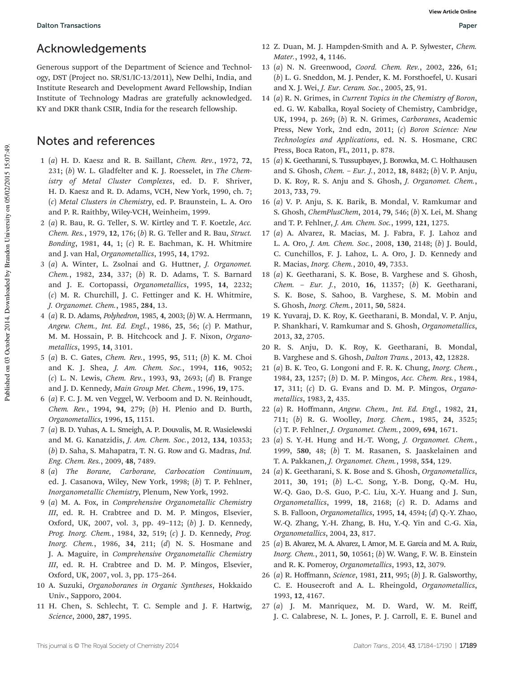# Acknowledgements

Generous support of the Department of Science and Technology, DST (Project no. SR/S1/IC-13/2011), New Delhi, India, and Institute Research and Development Award Fellowship, Indian Institute of Technology Madras are gratefully acknowledged. KY and DKR thank CSIR, India for the research fellowship.

## Notes and references

- 1 (*a*) H. D. Kaesz and R. B. Saillant, *Chem. Rev.*, 1972, 72, 231; (*b*) W. L. Gladfelter and K. J. Roesselet, in *The Chemistry of Metal Cluster Complexes*, ed. D. F. Shriver, H. D. Kaesz and R. D. Adams, VCH, New York, 1990, ch. 7; (*c*) *Metal Clusters in Chemistry*, ed. P. Braunstein, L. A. Oro and P. R. Raithby, Wiley-VCH, Weinheim, 1999.
- 2 (*a*) R. Bau, R. G. Teller, S. W. Kirtley and T. F. Koetzle, *Acc. Chem. Res.*, 1979, 12, 176; (*b*) R. G. Teller and R. Bau, *Struct. Bonding*, 1981, 44, 1; (*c*) R. E. Bachman, K. H. Whitmire and J. van Hal, *Organometallics*, 1995, 14, 1792.
- 3 (*a*) A. Winter, L. Zsolnai and G. Huttner, *J. Organomet. Chem.*, 1982, 234, 337; (*b*) R. D. Adams, T. S. Barnard and J. E. Cortopassi, *Organometallics*, 1995, 14, 2232; (*c*) M. R. Churchill, J. C. Fettinger and K. H. Whitmire, *J. Organomet. Chem.*, 1985, 284, 13.
- 4 (*a*) R. D. Adams, *Polyhedron*, 1985, 4, 2003; (*b*) W. A. Herrmann, *Angew. Chem., Int. Ed. Engl.*, 1986, 25, 56; (*c*) P. Mathur, M. M. Hossain, P. B. Hitchcock and J. F. Nixon, *Organometallics*, 1995, 14, 3101.
- 5 (*a*) B. C. Gates, *Chem. Rev.*, 1995, 95, 511; (*b*) K. M. Choi and K. J. Shea, *J. Am. Chem. Soc.*, 1994, 116, 9052; (*c*) L. N. Lewis, *Chem. Rev.*, 1993, 93, 2693; (*d*) B. Frange and J. D. Kennedy, *Main Group Met. Chem.*, 1996, 19, 175.
- 6 (*a*) F. C. J. M. ven Veggel, W. Verboom and D. N. Reinhoudt, *Chem. Rev.*, 1994, 94, 279; (*b*) H. Plenio and D. Burth, *Organometallics*, 1996, 15, 1151.
- 7 (*a*) B. D. Yuhas, A. L. Smeigh, A. P. Douvalis, M. R. Wasielewski and M. G. Kanatzidis, *J. Am. Chem. Soc.*, 2012, 134, 10353; (*b*) D. Saha, S. Mahapatra, T. N. G. Row and G. Madras, *Ind. Eng. Chem. Res.*, 2009, 48, 7489.
- 8 (*a*) *The Borane, Carborane, Carbocation Continuum*, ed. J. Casanova, Wiley, New York, 1998; (*b*) T. P. Fehlner, *Inorganometallic Chemistry*, Plenum, New York, 1992.
- 9 (*a*) M. A. Fox, in *Comprehensive Organometallic Chemistry III*, ed. R. H. Crabtree and D. M. P. Mingos, Elsevier, Oxford, UK, 2007, vol. 3, pp. 49–112; (*b*) J. D. Kennedy, *Prog. Inorg. Chem.*, 1984, 32, 519; (*c*) J. D. Kennedy, *Prog. Inorg. Chem.*, 1986, 34, 211; (*d*) N. S. Hosmane and J. A. Maguire, in *Comprehensive Organometallic Chemistry III*, ed. R. H. Crabtree and D. M. P. Mingos, Elsevier, Oxford, UK, 2007, vol. 3, pp. 175–264.
- 10 A. Suzuki, *Organoboranes in Organic Syntheses*, Hokkaido Univ., Sapporo, 2004.
- 11 H. Chen, S. Schlecht, T. C. Semple and J. F. Hartwig, *Science*, 2000, 287, 1995.
- 12 Z. Duan, M. J. Hampden-Smith and A. P. Sylwester, *Chem. Mater.*, 1992, 4, 1146.
- 13 (*a*) N. N. Greenwood, *Coord. Chem. Rev.*, 2002, 226, 61; (*b*) L. G. Sneddon, M. J. Pender, K. M. Forsthoefel, U. Kusari and X. J. Wei, *J. Eur. Ceram. Soc.*, 2005, 25, 91.
- 14 (*a*) R. N. Grimes, in *Current Topics in the Chemistry of Boron*, ed. G. W. Kabalka, Royal Society of Chemistry, Cambridge, UK, 1994, p. 269; (*b*) R. N. Grimes, *Carboranes*, Academic Press, New York, 2nd edn, 2011; (*c*) *Boron Science: New Technologies and Applications*, ed. N. S. Hosmane, CRC Press, Boca Raton, FL, 2011, p. 878.
- 15 (*a*) K. Geetharani, S. Tussupbayev, J. Borowka, M. C. Holthausen and S. Ghosh, *Chem.* – *Eur. J.*, 2012, 18, 8482; (*b*) V. P. Anju, D. K. Roy, R. S. Anju and S. Ghosh, *J. Organomet. Chem.*, 2013, 733, 79.
- 16 (*a*) V. P. Anju, S. K. Barik, B. Mondal, V. Ramkumar and S. Ghosh, *ChemPlusChem*, 2014, 79, 546; (*b*) X. Lei, M. Shang and T. P. Fehlner, *J. Am. Chem. Soc.*, 1999, 121, 1275.
- 17 (*a*) A. Alvarez, R. Macias, M. J. Fabra, F. J. Lahoz and L. A. Oro, *J. Am. Chem. Soc.*, 2008, 130, 2148; (*b*) J. Bould, C. Cunchillos, F. J. Lahoz, L. A. Oro, J. D. Kennedy and R. Macias, *Inorg. Chem.*, 2010, 49, 7353.
- 18 (*a*) K. Geetharani, S. K. Bose, B. Varghese and S. Ghosh, *Chem.* – *Eur. J.*, 2010, 16, 11357; (*b*) K. Geetharani, S. K. Bose, S. Sahoo, B. Varghese, S. M. Mobin and S. Ghosh, *Inorg. Chem.*, 2011, 50, 5824.
- 19 K. Yuvaraj, D. K. Roy, K. Geetharani, B. Mondal, V. P. Anju, P. Shankhari, V. Ramkumar and S. Ghosh, *Organometallics*, 2013, 32, 2705.
- 20 R. S. Anju, D. K. Roy, K. Geetharani, B. Mondal, B. Varghese and S. Ghosh, *Dalton Trans.*, 2013, 42, 12828.
- 21 (*a*) B. K. Teo, G. Longoni and F. R. K. Chung, *Inorg. Chem.*, 1984, 23, 1257; (*b*) D. M. P. Mingos, *Acc. Chem. Res.*, 1984, 17, 311; (*c*) D. G. Evans and D. M. P. Mingos, *Organometallics*, 1983, 2, 435.
- 22 (*a*) R. Hoffmann, *Angew. Chem., Int. Ed. Engl.*, 1982, 21, 711; (*b*) R. G. Woolley, *Inorg. Chem.*, 1985, 24, 3525; (*c*) T. P. Fehlner, *J. Organomet. Chem.*, 2009, 694, 1671.
- 23 (*a*) S. Y.-H. Hung and H.-T. Wong, *J. Organomet. Chem.*, 1999, 580, 48; (*b*) T. M. Rasanen, S. Jaaskelainen and T. A. Pakkanen, *J. Organomet. Chem.*, 1998, 554, 129.
- 24 (*a*) K. Geetharani, S. K. Bose and S. Ghosh, *Organometallics*, 2011, 30, 191; (*b*) L.-C. Song, Y.-B. Dong, Q.-M. Hu, W.-Q. Gao, D.-S. Guo, P.-C. Liu, X.-Y. Huang and J. Sun, *Organometallics*, 1999, 18, 2168; (*c*) R. D. Adams and S. B. Falloon, *Organometallics*, 1995, 14, 4594; (*d*) Q.-Y. Zhao, W.-Q. Zhang, Y.-H. Zhang, B. Hu, Y.-Q. Yin and C.-G. Xia, *Organometallics*, 2004, 23, 817.
- 25 (*a*) B. Alvarez, M. A. Alvarez, I. Amor, M. E. García and M. A. Ruiz, *Inorg. Chem.*, 2011, 50, 10561; (*b*) W. Wang, F. W. B. Einstein and R. K. Pomeroy, *Organometallics*, 1993, 12, 3079.
- 26 (*a*) R. Hoffmann, *Science*, 1981, 211, 995; (*b*) J. R. Galsworthy, C. E. Housecroft and A. L. Rheingold, *Organometallics*, 1993, 12, 4167.
- 27 (*a*) J. M. Manriquez, M. D. Ward, W. M. Reiff, J. C. Calabrese, N. L. Jones, P. J. Carroll, E. E. Bunel and